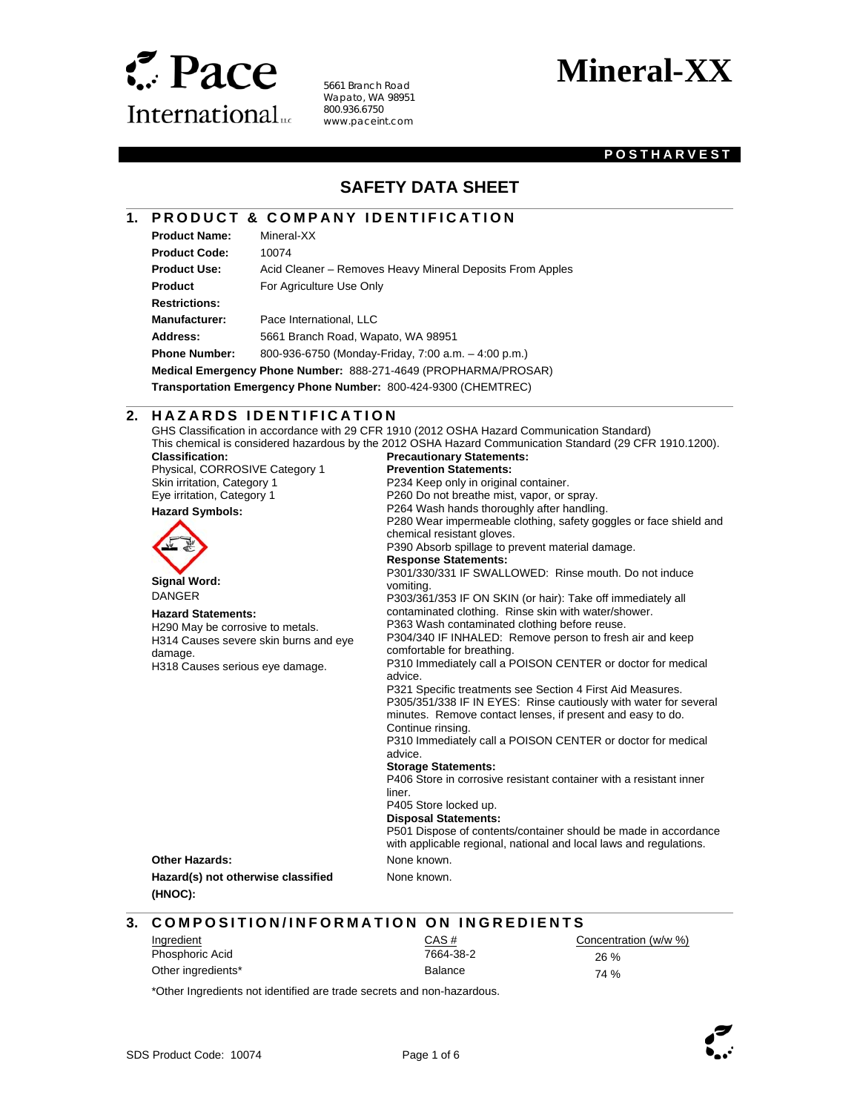

 $\overline{\phantom{a}}$ 

l

5661 Branch Road Wapato, WA 98951 800.936.6750 www.paceint.com

# **Mineral-XX**

### **POSTHARVEST**

# **SAFETY DATA SHEET**

### **1. PRODUCT & COMPANY IDENTIFICATION**

| <b>Product Name:</b>                                            | Mineral-XX                                                |
|-----------------------------------------------------------------|-----------------------------------------------------------|
| <b>Product Code:</b>                                            | 10074                                                     |
| <b>Product Use:</b>                                             | Acid Cleaner – Removes Heavy Mineral Deposits From Apples |
| <b>Product</b>                                                  | For Agriculture Use Only                                  |
| <b>Restrictions:</b>                                            |                                                           |
| <b>Manufacturer:</b>                                            | Pace International, LLC                                   |
| Address:                                                        | 5661 Branch Road, Wapato, WA 98951                        |
| <b>Phone Number:</b>                                            | 800-936-6750 (Monday-Friday, 7:00 a.m. - 4:00 p.m.)       |
| Medical Emergency Phone Number: 888-271-4649 (PROPHARMA/PROSAR) |                                                           |
| Transportation Emergency Phone Number: 800-424-9300 (CHEMTREC)  |                                                           |

### **2. HAZARDS IDENTIFICATION**

GHS Classification in accordance with 29 CFR 1910 (2012 OSHA Hazard Communication Standard) This chemical is considered hazardous by the 2012 OSHA Hazard Communication Standard (29 CFR 1910.1200). **Classification: Precautionary Statements:** 

| Physical, CORROSIVE Category 1        | <b>Prevention Statements:</b>                                                                                            |
|---------------------------------------|--------------------------------------------------------------------------------------------------------------------------|
| Skin irritation, Category 1           | P234 Keep only in original container.                                                                                    |
| Eye irritation, Category 1            | P260 Do not breathe mist, vapor, or spray.                                                                               |
| <b>Hazard Symbols:</b>                | P264 Wash hands thoroughly after handling.                                                                               |
|                                       | P280 Wear impermeable clothing, safety gog<br>chemical resistant gloves.<br>P390 Absorb spillage to prevent material dan |
|                                       | <b>Response Statements:</b>                                                                                              |
| <b>Signal Word:</b>                   | P301/330/331 IF SWALLOWED: Rinse mou<br>vomiting.                                                                        |
| <b>DANGER</b>                         | P303/361/353 IF ON SKIN (or hair): Take off                                                                              |
| <b>Hazard Statements:</b>             | contaminated clothing. Rinse skin with water                                                                             |
| H290 May be corrosive to metals.      | P363 Wash contaminated clothing before reu                                                                               |
| H314 Causes severe skin burns and eye | P304/340 IF INHALED: Remove person to fr                                                                                 |
| damage.                               | comfortable for breathing.                                                                                               |
| H318 Causes serious eye damage.       | P310 Immediately call a POISON CENTER o<br>advice.                                                                       |

### e clothing, safety goggles or face shield and chemical resistant gloves. prevent material damage. **Response Statements:**  LOWED: Rinse mouth. Do not induce IN (or hair): Take off immediately all Rinse skin with water/shower. ed clothing before reuse. Remove person to fresh air and keep comfortable for breathing. POISON CENTER or doctor for medical advice. P321 Specific treatments see Section 4 First Aid Measures. P305/351/338 IF IN EYES: Rinse cautiously with water for several minutes. Remove contact lenses, if present and easy to do. Continue rinsing. P310 Immediately call a POISON CENTER or doctor for medical advice. **Storage Statements:**

P406 Store in corrosive resistant container with a resistant inner

liner.

P405 Store locked up.

**Disposal Statements:** 

P501 Dispose of contents/container should be made in accordance with applicable regional, national and local laws and regulations.

**Other Hazards:** None known. **Hazard(s) not otherwise classified** 

**(HNOC):** 

None known.

# **3. COMPOSITION/INFORMATION ON INGREDIENTS**

| Ingredient         | <u>CAS #</u>   | Concentration (w/w %) |
|--------------------|----------------|-----------------------|
| Phosphoric Acid    | 7664-38-2      | 26%                   |
| Other ingredients* | <b>Balance</b> | 74 %                  |

\*Other Ingredients not identified are trade secrets and non-hazardous.

l

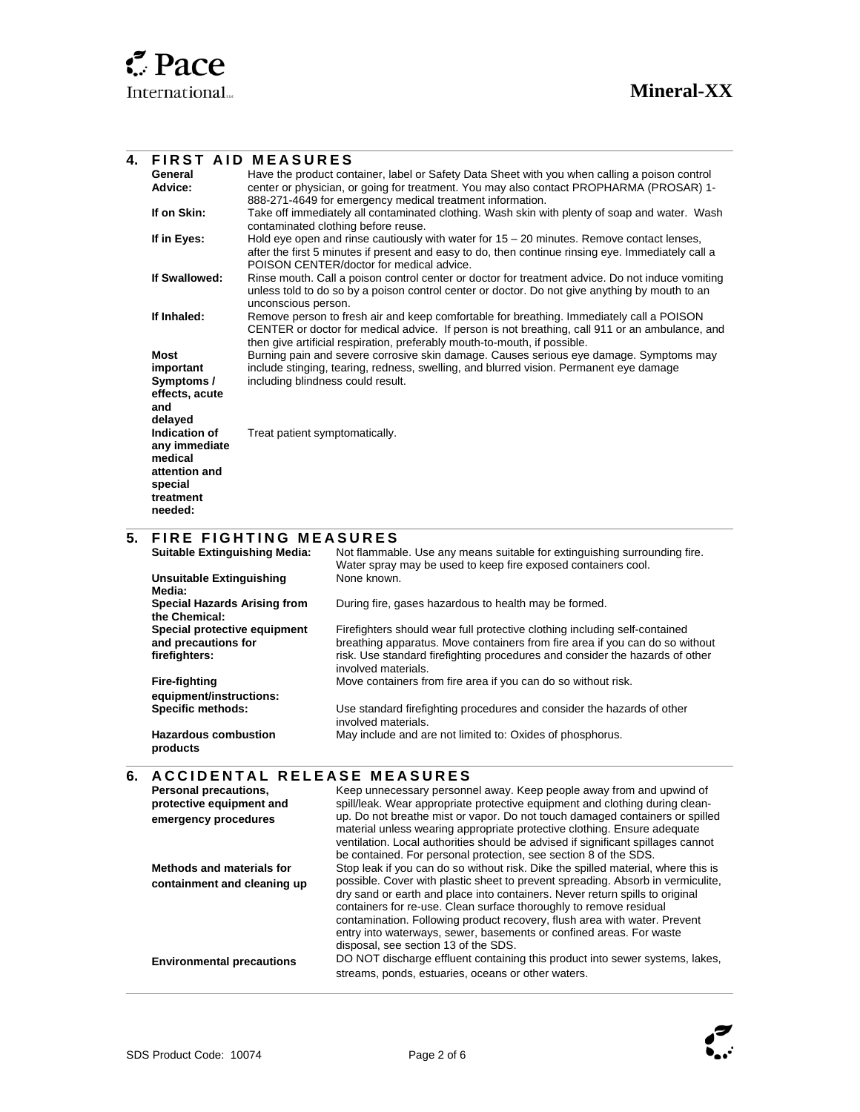$\overline{\phantom{a}}$ 

l

 $\overline{a}$ 

l

### **4. FIRST AID MEASURES General Advice:**  Have the product container, label or Safety Data Sheet with you when calling a poison control center or physician, or going for treatment. You may also contact PROPHARMA (PROSAR) 1- 888-271-4649 for emergency medical treatment information. **If on Skin:** Take off immediately all contaminated clothing. Wash skin with plenty of soap and water. Wash contaminated clothing before reuse. **If in Eyes:** Hold eye open and rinse cautiously with water for 15 – 20 minutes. Remove contact lenses, after the first 5 minutes if present and easy to do, then continue rinsing eye. Immediately call a POISON CENTER/doctor for medical advice. **If Swallowed:** Rinse mouth. Call a poison control center or doctor for treatment advice. Do not induce vomiting unless told to do so by a poison control center or doctor. Do not give anything by mouth to an unconscious person. **If Inhaled:** Remove person to fresh air and keep comfortable for breathing. Immediately call a POISON CENTER or doctor for medical advice. If person is not breathing, call 911 or an ambulance, and then give artificial respiration, preferably mouth-to-mouth, if possible. **Most important Symptoms / effects, acute and delayed**  Burning pain and severe corrosive skin damage. Causes serious eye damage. Symptoms may include stinging, tearing, redness, swelling, and blurred vision. Permanent eye damage including blindness could result. **Indication of any immediate medical attention and special treatment needed:**  Treat patient symptomatically.

### **5. FIRE FIGHTING MEASURES**

| <b>Suitable Extinguishing Media:</b>                                 | Not flammable. Use any means suitable for extinguishing surrounding fire.<br>Water spray may be used to keep fire exposed containers cool.                                                                                                                        |
|----------------------------------------------------------------------|-------------------------------------------------------------------------------------------------------------------------------------------------------------------------------------------------------------------------------------------------------------------|
| <b>Unsuitable Extinguishing</b><br>Media:                            | None known.                                                                                                                                                                                                                                                       |
| <b>Special Hazards Arising from</b><br>the Chemical:                 | During fire, gases hazardous to health may be formed.                                                                                                                                                                                                             |
| Special protective equipment<br>and precautions for<br>firefighters: | Firefighters should wear full protective clothing including self-contained<br>breathing apparatus. Move containers from fire area if you can do so without<br>risk. Use standard firefighting procedures and consider the hazards of other<br>involved materials. |
| <b>Fire-fighting</b><br>equipment/instructions:                      | Move containers from fire area if you can do so without risk.                                                                                                                                                                                                     |
| <b>Specific methods:</b>                                             | Use standard firefighting procedures and consider the hazards of other<br>involved materials.                                                                                                                                                                     |
| <b>Hazardous combustion</b><br>products                              | May include and are not limited to: Oxides of phosphorus.                                                                                                                                                                                                         |

### **6. A C C I D E N T A L RELEASE MEASURES**

| Personal precautions,<br>protective equipment and<br>emergency procedures | Keep unnecessary personnel away. Keep people away from and upwind of<br>spill/leak. Wear appropriate protective equipment and clothing during clean-<br>up. Do not breathe mist or vapor. Do not touch damaged containers or spilled<br>material unless wearing appropriate protective clothing. Ensure adequate                                                                                                                  |
|---------------------------------------------------------------------------|-----------------------------------------------------------------------------------------------------------------------------------------------------------------------------------------------------------------------------------------------------------------------------------------------------------------------------------------------------------------------------------------------------------------------------------|
|                                                                           | ventilation. Local authorities should be advised if significant spillages cannot<br>be contained. For personal protection, see section 8 of the SDS.                                                                                                                                                                                                                                                                              |
| Methods and materials for                                                 | Stop leak if you can do so without risk. Dike the spilled material, where this is                                                                                                                                                                                                                                                                                                                                                 |
| containment and cleaning up                                               | possible. Cover with plastic sheet to prevent spreading. Absorb in vermiculite,<br>dry sand or earth and place into containers. Never return spills to original<br>containers for re-use. Clean surface thoroughly to remove residual<br>contamination. Following product recovery, flush area with water. Prevent<br>entry into waterways, sewer, basements or confined areas. For waste<br>disposal, see section 13 of the SDS. |
| <b>Environmental precautions</b>                                          | DO NOT discharge effluent containing this product into sewer systems, lakes,<br>streams, ponds, estuaries, oceans or other waters.                                                                                                                                                                                                                                                                                                |



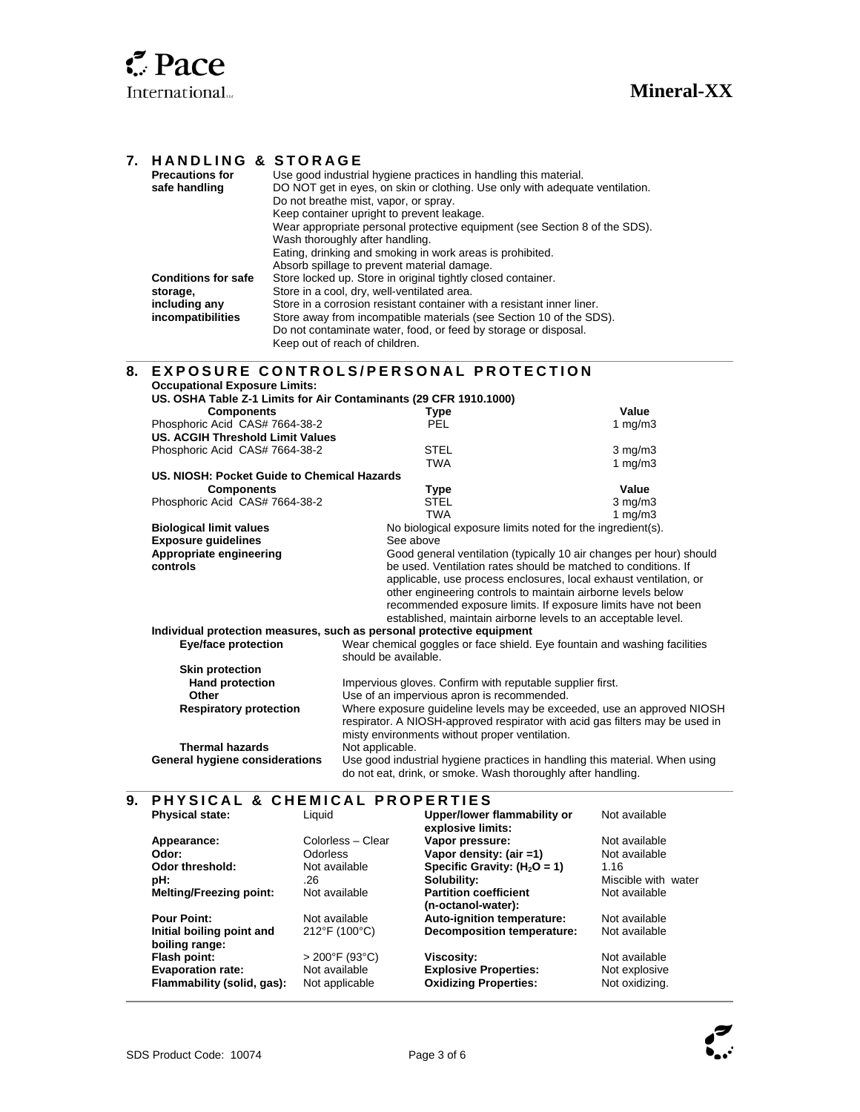|    | 7. HANDLING & STORAGE<br><b>Precautions for</b><br>safe handling                                                              | Use good industrial hygiene practices in handling this material.<br>DO NOT get in eyes, on skin or clothing. Use only with adequate ventilation.<br>Do not breathe mist, vapor, or spray.<br>Keep container upright to prevent leakage.<br>Wear appropriate personal protective equipment (see Section 8 of the SDS).<br>Wash thoroughly after handling.<br>Eating, drinking and smoking in work areas is prohibited. |                                                                                                                                                                                                          |                  |
|----|-------------------------------------------------------------------------------------------------------------------------------|-----------------------------------------------------------------------------------------------------------------------------------------------------------------------------------------------------------------------------------------------------------------------------------------------------------------------------------------------------------------------------------------------------------------------|----------------------------------------------------------------------------------------------------------------------------------------------------------------------------------------------------------|------------------|
|    | <b>Conditions for safe</b><br>storage,<br>including any<br>incompatibilities                                                  | Absorb spillage to prevent material damage.<br>Store locked up. Store in original tightly closed container.<br>Store in a cool, dry, well-ventilated area.<br>Store in a corrosion resistant container with a resistant inner liner.<br>Store away from incompatible materials (see Section 10 of the SDS).<br>Do not contaminate water, food, or feed by storage or disposal.<br>Keep out of reach of children.      |                                                                                                                                                                                                          |                  |
| 8. |                                                                                                                               |                                                                                                                                                                                                                                                                                                                                                                                                                       | <b>EXPOSURE CONTROLS/PERSONAL PROTECTION</b>                                                                                                                                                             |                  |
|    | <b>Occupational Exposure Limits:</b>                                                                                          |                                                                                                                                                                                                                                                                                                                                                                                                                       | US. OSHA Table Z-1 Limits for Air Contaminants (29 CFR 1910.1000)                                                                                                                                        |                  |
|    | <b>Components</b>                                                                                                             |                                                                                                                                                                                                                                                                                                                                                                                                                       | Type                                                                                                                                                                                                     | Value            |
|    | Phosphoric Acid CAS# 7664-38-2                                                                                                |                                                                                                                                                                                                                                                                                                                                                                                                                       | <b>PFI</b>                                                                                                                                                                                               | 1 $mq/m3$        |
|    | <b>US. ACGIH Threshold Limit Values</b>                                                                                       |                                                                                                                                                                                                                                                                                                                                                                                                                       |                                                                                                                                                                                                          |                  |
|    | Phosphoric Acid CAS# 7664-38-2                                                                                                |                                                                                                                                                                                                                                                                                                                                                                                                                       | <b>STEL</b>                                                                                                                                                                                              | $3 \text{ mg/m}$ |
|    |                                                                                                                               |                                                                                                                                                                                                                                                                                                                                                                                                                       | <b>TWA</b>                                                                                                                                                                                               | $1 \text{ mg/m}$ |
|    | US. NIOSH: Pocket Guide to Chemical Hazards                                                                                   |                                                                                                                                                                                                                                                                                                                                                                                                                       |                                                                                                                                                                                                          |                  |
|    | <b>Components</b>                                                                                                             |                                                                                                                                                                                                                                                                                                                                                                                                                       | Type                                                                                                                                                                                                     | Value            |
|    | Phosphoric Acid CAS# 7664-38-2                                                                                                |                                                                                                                                                                                                                                                                                                                                                                                                                       | <b>STEL</b>                                                                                                                                                                                              | $3 \text{ mg/m}$ |
|    |                                                                                                                               |                                                                                                                                                                                                                                                                                                                                                                                                                       | <b>TWA</b>                                                                                                                                                                                               | 1 $mq/m3$        |
|    |                                                                                                                               | <b>Biological limit values</b><br>No biological exposure limits noted for the ingredient(s).                                                                                                                                                                                                                                                                                                                          |                                                                                                                                                                                                          |                  |
|    | <b>Exposure guidelines</b>                                                                                                    |                                                                                                                                                                                                                                                                                                                                                                                                                       | See above                                                                                                                                                                                                |                  |
|    | Appropriate engineering                                                                                                       |                                                                                                                                                                                                                                                                                                                                                                                                                       | Good general ventilation (typically 10 air changes per hour) should                                                                                                                                      |                  |
|    | controls                                                                                                                      |                                                                                                                                                                                                                                                                                                                                                                                                                       | be used. Ventilation rates should be matched to conditions. If                                                                                                                                           |                  |
|    |                                                                                                                               |                                                                                                                                                                                                                                                                                                                                                                                                                       | applicable, use process enclosures, local exhaust ventilation, or                                                                                                                                        |                  |
|    | other engineering controls to maintain airborne levels below<br>recommended exposure limits. If exposure limits have not been |                                                                                                                                                                                                                                                                                                                                                                                                                       |                                                                                                                                                                                                          |                  |
|    | established, maintain airborne levels to an acceptable level.                                                                 |                                                                                                                                                                                                                                                                                                                                                                                                                       |                                                                                                                                                                                                          |                  |
|    |                                                                                                                               |                                                                                                                                                                                                                                                                                                                                                                                                                       | Individual protection measures, such as personal protective equipment                                                                                                                                    |                  |
|    | <b>Eye/face protection</b>                                                                                                    |                                                                                                                                                                                                                                                                                                                                                                                                                       | Wear chemical goggles or face shield. Eye fountain and washing facilities<br>should be available.                                                                                                        |                  |
|    | <b>Skin protection</b>                                                                                                        |                                                                                                                                                                                                                                                                                                                                                                                                                       |                                                                                                                                                                                                          |                  |
|    | <b>Hand protection</b>                                                                                                        |                                                                                                                                                                                                                                                                                                                                                                                                                       | Impervious gloves. Confirm with reputable supplier first.                                                                                                                                                |                  |
|    | Other                                                                                                                         |                                                                                                                                                                                                                                                                                                                                                                                                                       | Use of an impervious apron is recommended.                                                                                                                                                               |                  |
|    | <b>Respiratory protection</b>                                                                                                 |                                                                                                                                                                                                                                                                                                                                                                                                                       | Where exposure guideline levels may be exceeded, use an approved NIOSH<br>respirator. A NIOSH-approved respirator with acid gas filters may be used in<br>misty environments without proper ventilation. |                  |
|    | <b>Thermal hazards</b>                                                                                                        |                                                                                                                                                                                                                                                                                                                                                                                                                       | Not applicable.                                                                                                                                                                                          |                  |
|    | General hygiene considerations                                                                                                |                                                                                                                                                                                                                                                                                                                                                                                                                       | Use good industrial hygiene practices in handling this material. When using<br>do not eat, drink, or smoke. Wash thoroughly after handling.                                                              |                  |
| 9. |                                                                                                                               |                                                                                                                                                                                                                                                                                                                                                                                                                       | PHYSICAL & CHEMICAL PROPERTIES                                                                                                                                                                           |                  |
|    | <b>Physical state:</b>                                                                                                        | Liquid                                                                                                                                                                                                                                                                                                                                                                                                                | Upper/lower flammability or<br>explosive limits:                                                                                                                                                         | Not available    |

|                         | explosive limits:                 |                     |
|-------------------------|-----------------------------------|---------------------|
| Colorless - Clear       | Vapor pressure:                   | Not available       |
| Odorless                | Vapor density: (air =1)           | Not available       |
| Not available           | Specific Gravity: $(H_2O = 1)$    | 1.16                |
| .26                     | Solubility:                       | Miscible with water |
| Not available           | <b>Partition coefficient</b>      | Not available       |
|                         | (n-octanol-water):                |                     |
| Not available           | Auto-ignition temperature:        | Not available       |
| 212°F (100°C)           | <b>Decomposition temperature:</b> | Not available       |
|                         |                                   |                     |
| $>200^{\circ}$ F (93°C) | Viscosity:                        | Not available       |
| Not available           | <b>Explosive Properties:</b>      | Not explosive       |
| Not applicable          | <b>Oxidizing Properties:</b>      | Not oxidizing.      |
|                         |                                   |                     |

l

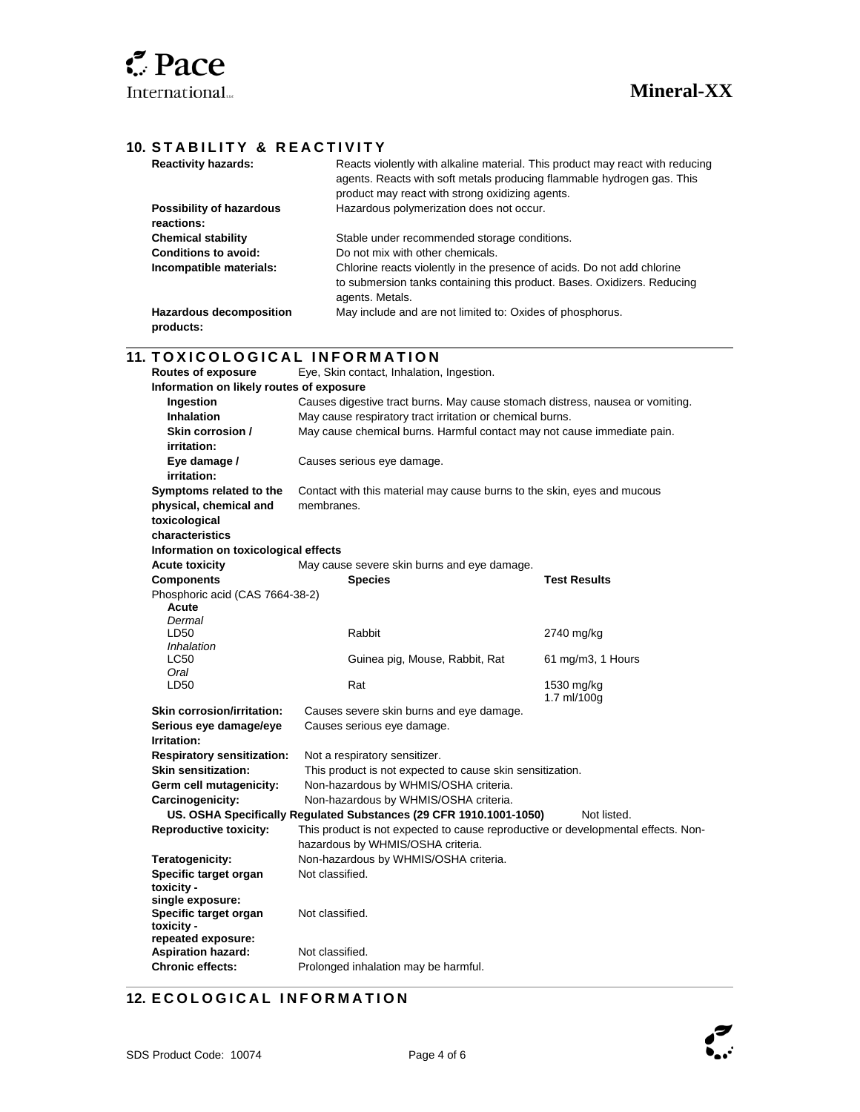l

### **10. STABILITY & REACTIVITY**

| <b>Reactivity hazards:</b>                  | Reacts violently with alkaline material. This product may react with reducing<br>agents. Reacts with soft metals producing flammable hydrogen gas. This<br>product may react with strong oxidizing agents. |
|---------------------------------------------|------------------------------------------------------------------------------------------------------------------------------------------------------------------------------------------------------------|
| Possibility of hazardous<br>reactions:      | Hazardous polymerization does not occur.                                                                                                                                                                   |
| <b>Chemical stability</b>                   | Stable under recommended storage conditions.                                                                                                                                                               |
| Conditions to avoid:                        | Do not mix with other chemicals.                                                                                                                                                                           |
| Incompatible materials:                     | Chlorine reacts violently in the presence of acids. Do not add chlorine<br>to submersion tanks containing this product. Bases. Oxidizers. Reducing<br>agents. Metals.                                      |
| <b>Hazardous decomposition</b><br>products: | May include and are not limited to: Oxides of phosphorus.                                                                                                                                                  |

### **11. TOXICOLOGICAL INFORMATION**

| <b>Routes of exposure</b>                | Eye, Skin contact, Inhalation, Ingestion.                                         |                     |  |
|------------------------------------------|-----------------------------------------------------------------------------------|---------------------|--|
| Information on likely routes of exposure |                                                                                   |                     |  |
| Ingestion                                | Causes digestive tract burns. May cause stomach distress, nausea or vomiting.     |                     |  |
| <b>Inhalation</b>                        | May cause respiratory tract irritation or chemical burns.                         |                     |  |
| Skin corrosion /                         | May cause chemical burns. Harmful contact may not cause immediate pain.           |                     |  |
| irritation:                              |                                                                                   |                     |  |
| Eye damage /                             | Causes serious eye damage.                                                        |                     |  |
| irritation:                              |                                                                                   |                     |  |
| Symptoms related to the                  | Contact with this material may cause burns to the skin, eyes and mucous           |                     |  |
| physical, chemical and                   | membranes.                                                                        |                     |  |
| toxicological                            |                                                                                   |                     |  |
| characteristics                          |                                                                                   |                     |  |
| Information on toxicological effects     |                                                                                   |                     |  |
| <b>Acute toxicity</b>                    | May cause severe skin burns and eye damage.                                       |                     |  |
| <b>Components</b>                        | <b>Species</b>                                                                    | <b>Test Results</b> |  |
| Phosphoric acid (CAS 7664-38-2)          |                                                                                   |                     |  |
| Acute                                    |                                                                                   |                     |  |
| Dermal                                   |                                                                                   |                     |  |
| LD50<br>Inhalation                       | Rabbit                                                                            | 2740 mg/kg          |  |
| <b>LC50</b>                              | Guinea pig, Mouse, Rabbit, Rat                                                    | 61 mg/m3, 1 Hours   |  |
| Oral                                     |                                                                                   |                     |  |
| LD50                                     | Rat                                                                               | 1530 mg/kg          |  |
|                                          |                                                                                   | 1.7 ml/100g         |  |
| <b>Skin corrosion/irritation:</b>        | Causes severe skin burns and eye damage.                                          |                     |  |
| Serious eye damage/eye                   | Causes serious eye damage.                                                        |                     |  |
| Irritation:                              |                                                                                   |                     |  |
| <b>Respiratory sensitization:</b>        | Not a respiratory sensitizer.                                                     |                     |  |
| <b>Skin sensitization:</b>               | This product is not expected to cause skin sensitization.                         |                     |  |
| Germ cell mutagenicity:                  | Non-hazardous by WHMIS/OSHA criteria.                                             |                     |  |
|                                          | Non-hazardous by WHMIS/OSHA criteria.<br>Carcinogenicity:                         |                     |  |
|                                          | US. OSHA Specifically Regulated Substances (29 CFR 1910.1001-1050)                | Not listed.         |  |
| <b>Reproductive toxicity:</b>            | This product is not expected to cause reproductive or developmental effects. Non- |                     |  |
|                                          | hazardous by WHMIS/OSHA criteria.                                                 |                     |  |
| Teratogenicity:                          | Non-hazardous by WHMIS/OSHA criteria.                                             |                     |  |
| Specific target organ                    | Not classified.                                                                   |                     |  |
| toxicity -                               |                                                                                   |                     |  |
| single exposure:                         | Not classified.                                                                   |                     |  |
| Specific target organ<br>toxicity -      |                                                                                   |                     |  |
| repeated exposure:                       |                                                                                   |                     |  |
| <b>Aspiration hazard:</b>                | Not classified.                                                                   |                     |  |
| <b>Chronic effects:</b>                  | Prolonged inhalation may be harmful.                                              |                     |  |

# **12. ECOLOGICAL INFORMATION**

 $\overline{a}$ 



 $\boldsymbol{\tilde{c}}$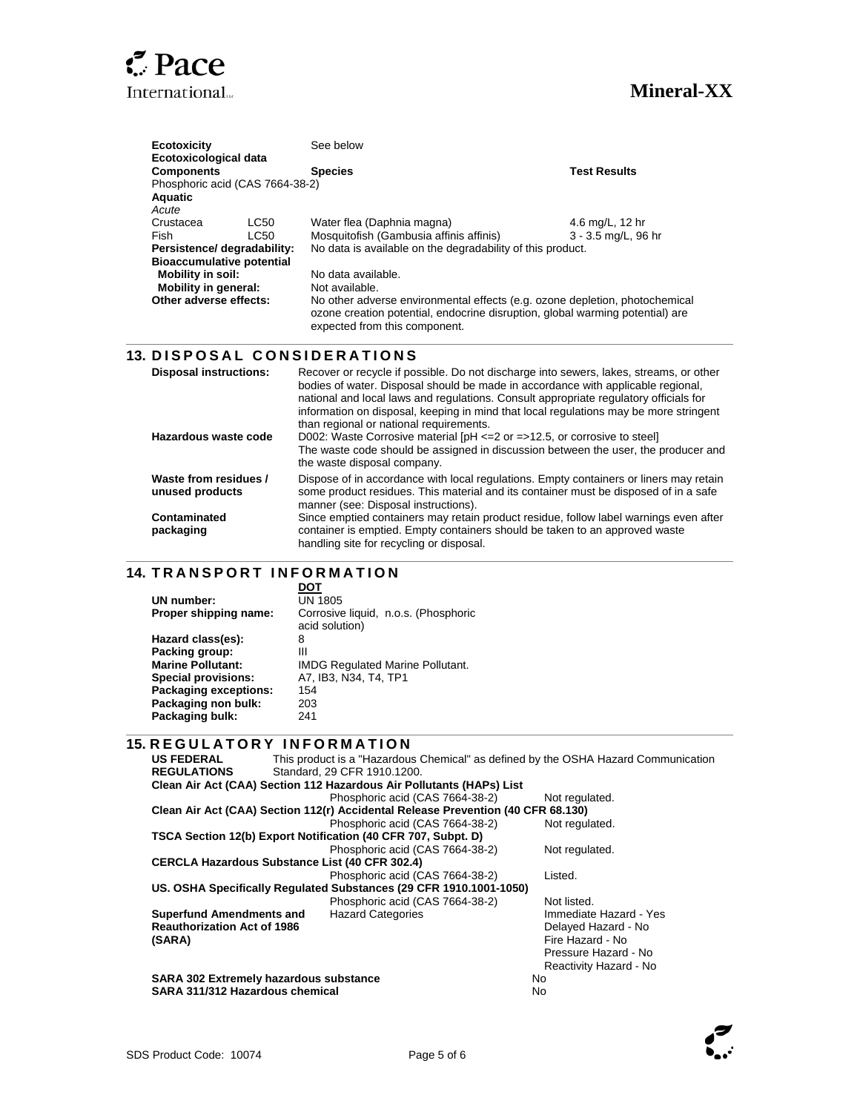

 $\overline{a}$ 

l

 $\overline{\phantom{a}}$ 

| Ecotoxicity<br><b>Ecotoxicological data</b>          | See below                                                                                                                                                                                     |                     |
|------------------------------------------------------|-----------------------------------------------------------------------------------------------------------------------------------------------------------------------------------------------|---------------------|
| <b>Components</b><br>Phosphoric acid (CAS 7664-38-2) | <b>Species</b>                                                                                                                                                                                | <b>Test Results</b> |
| <b>Aquatic</b><br>Acute                              |                                                                                                                                                                                               |                     |
| Crustacea<br>LC50                                    | Water flea (Daphnia magna)                                                                                                                                                                    | 4.6 mg/L, 12 hr     |
| <b>Fish</b><br>LC50                                  | Mosquitofish (Gambusia affinis affinis)                                                                                                                                                       | 3 - 3.5 mg/L, 96 hr |
| Persistence/ degradability:                          | No data is available on the degradability of this product.                                                                                                                                    |                     |
| <b>Bioaccumulative potential</b>                     |                                                                                                                                                                                               |                     |
| <b>Mobility in soil:</b>                             | No data available.                                                                                                                                                                            |                     |
| <b>Mobility in general:</b>                          | Not available.                                                                                                                                                                                |                     |
| Other adverse effects:                               | No other adverse environmental effects (e.g. ozone depletion, photochemical<br>ozone creation potential, endocrine disruption, global warming potential) are<br>expected from this component. |                     |

# **13. DISPOSAL CONSIDERATIONS**

| <b>Disposal instructions:</b>            | Recover or recycle if possible. Do not discharge into sewers, lakes, streams, or other<br>bodies of water. Disposal should be made in accordance with applicable regional,<br>national and local laws and regulations. Consult appropriate regulatory officials for<br>information on disposal, keeping in mind that local regulations may be more stringent<br>than regional or national requirements. |
|------------------------------------------|---------------------------------------------------------------------------------------------------------------------------------------------------------------------------------------------------------------------------------------------------------------------------------------------------------------------------------------------------------------------------------------------------------|
| Hazardous waste code                     | D002: Waste Corrosive material $[PH \le 2$ or $= >12.5$ , or corrosive to steel]<br>The waste code should be assigned in discussion between the user, the producer and<br>the waste disposal company.                                                                                                                                                                                                   |
| Waste from residues /<br>unused products | Dispose of in accordance with local regulations. Empty containers or liners may retain<br>some product residues. This material and its container must be disposed of in a safe<br>manner (see: Disposal instructions).                                                                                                                                                                                  |
| Contaminated<br>packaging                | Since emptied containers may retain product residue, follow label warnings even after<br>container is emptied. Empty containers should be taken to an approved waste<br>handling site for recycling or disposal.                                                                                                                                                                                        |

## **14. TRANSPORT INFORMATION**

| UN number:                   | <b>UN 1805</b>                          |
|------------------------------|-----------------------------------------|
| Proper shipping name:        | Corrosive liquid, n.o.s. (Phosphoric    |
|                              | acid solution)                          |
| Hazard class(es):            | 8                                       |
| Packing group:               | Ш                                       |
| <b>Marine Pollutant:</b>     | <b>IMDG Regulated Marine Pollutant.</b> |
| <b>Special provisions:</b>   | A7. IB3. N34. T4. TP1                   |
| <b>Packaging exceptions:</b> | 154                                     |
| Packaging non bulk:          | 203                                     |
| Packaging bulk:              | 241                                     |
|                              |                                         |

### **15. R E G U L A T O R Y I N F O R M A T I O N**

| <b>US FEDERAL</b>                                                                | This product is a "Hazardous Chemical" as defined by the OSHA Hazard Communication |                                 |                        |  |  |  |
|----------------------------------------------------------------------------------|------------------------------------------------------------------------------------|---------------------------------|------------------------|--|--|--|
| <b>REGULATIONS</b>                                                               |                                                                                    | Standard, 29 CFR 1910, 1200.    |                        |  |  |  |
| Clean Air Act (CAA) Section 112 Hazardous Air Pollutants (HAPs) List             |                                                                                    |                                 |                        |  |  |  |
|                                                                                  |                                                                                    | Phosphoric acid (CAS 7664-38-2) | Not regulated.         |  |  |  |
| Clean Air Act (CAA) Section 112(r) Accidental Release Prevention (40 CFR 68.130) |                                                                                    |                                 |                        |  |  |  |
|                                                                                  |                                                                                    | Phosphoric acid (CAS 7664-38-2) | Not regulated.         |  |  |  |
| TSCA Section 12(b) Export Notification (40 CFR 707, Subpt. D)                    |                                                                                    |                                 |                        |  |  |  |
|                                                                                  |                                                                                    | Phosphoric acid (CAS 7664-38-2) | Not regulated.         |  |  |  |
| <b>CERCLA Hazardous Substance List (40 CFR 302.4)</b>                            |                                                                                    |                                 |                        |  |  |  |
|                                                                                  |                                                                                    | Phosphoric acid (CAS 7664-38-2) | Listed.                |  |  |  |
| US. OSHA Specifically Regulated Substances (29 CFR 1910.1001-1050)               |                                                                                    |                                 |                        |  |  |  |
|                                                                                  |                                                                                    | Phosphoric acid (CAS 7664-38-2) | Not listed.            |  |  |  |
| <b>Superfund Amendments and</b>                                                  |                                                                                    | <b>Hazard Categories</b>        | Immediate Hazard - Yes |  |  |  |
| <b>Reauthorization Act of 1986</b>                                               |                                                                                    |                                 | Delayed Hazard - No    |  |  |  |
| (SARA)                                                                           |                                                                                    |                                 | Fire Hazard - No       |  |  |  |
|                                                                                  |                                                                                    |                                 | Pressure Hazard - No   |  |  |  |
|                                                                                  |                                                                                    |                                 | Reactivity Hazard - No |  |  |  |
| <b>SARA 302 Extremely hazardous substance</b>                                    |                                                                                    |                                 | No.                    |  |  |  |
| SARA 311/312 Hazardous chemical                                                  |                                                                                    |                                 | No                     |  |  |  |